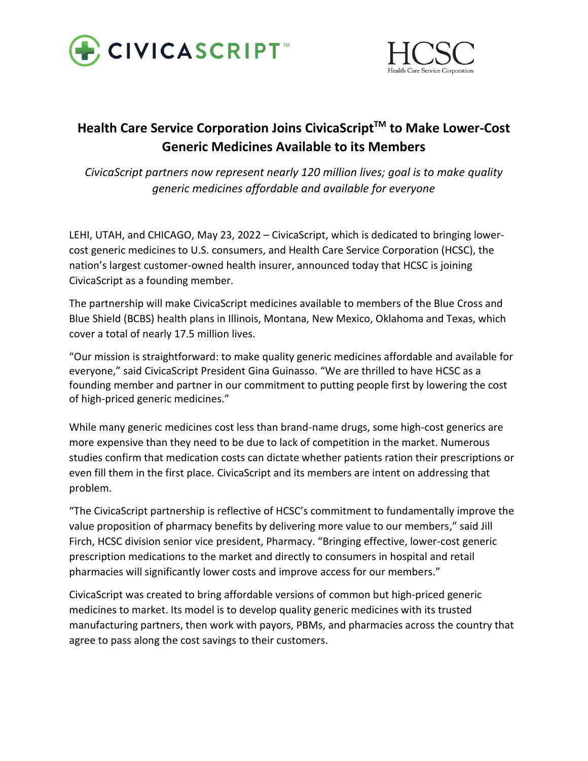



## **Health Care Service Corporation Joins CivicaScriptTM to Make Lower-Cost Generic Medicines Available to its Members**

*CivicaScript partners now represent nearly 120 million lives; goal is to make quality generic medicines affordable and available for everyone*

LEHI, UTAH, and CHICAGO, May 23, 2022 – CivicaScript, which is dedicated to bringing lowercost generic medicines to U.S. consumers, and Health Care Service Corporation (HCSC), the nation's largest customer-owned health insurer, announced today that HCSC is joining CivicaScript as a founding member.

The partnership will make CivicaScript medicines available to members of the Blue Cross and Blue Shield (BCBS) health plans in Illinois, Montana, New Mexico, Oklahoma and Texas, which cover a total of nearly 17.5 million lives.

"Our mission is straightforward: to make quality generic medicines affordable and available for everyone," said CivicaScript President Gina Guinasso. "We are thrilled to have HCSC as a founding member and partner in our commitment to putting people first by lowering the cost of high-priced generic medicines."

While many generic medicines cost less than brand-name drugs, some high-cost generics are more expensive than they need to be due to lack of competition in the market. Numerous studies confirm that medication costs can dictate whether patients ration their prescriptions or even fill them in the first place. CivicaScript and its members are intent on addressing that problem.

"The CivicaScript partnership is reflective of HCSC's commitment to fundamentally improve the value proposition of pharmacy benefits by delivering more value to our members," said Jill Firch, HCSC division senior vice president, Pharmacy. "Bringing effective, lower-cost generic prescription medications to the market and directly to consumers in hospital and retail pharmacies will significantly lower costs and improve access for our members."

CivicaScript was created to bring affordable versions of common but high-priced generic medicines to market. Its model is to develop quality generic medicines with its trusted manufacturing partners, then work with payors, PBMs, and pharmacies across the country that agree to pass along the cost savings to their customers.